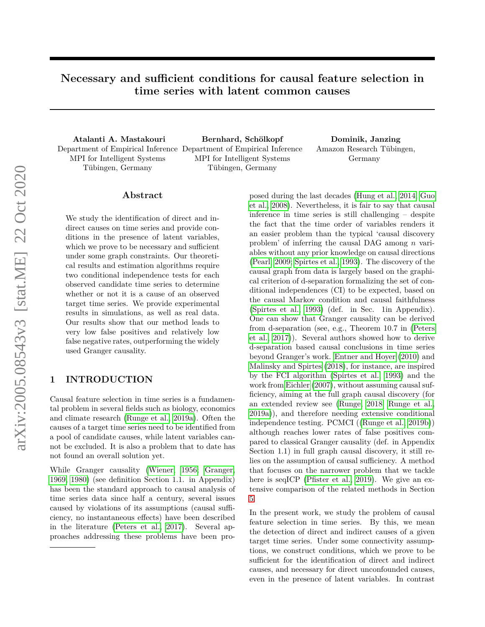# **Necessary and sufficient conditions for causal feature selection in time series with latent common causes**

MPI for Intelligent Systems Tübingen, Germany

**Atalanti A. Mastakouri Bernhard, Schölkopf Dominik, Janzing** Department of Empirical Inference Department of Empirical Inference MPI for Intelligent Systems Tübingen, Germany

Amazon Research Tübingen, Germany

# **Abstract**

We study the identification of direct and indirect causes on time series and provide conditions in the presence of latent variables, which we prove to be necessary and sufficient under some graph constraints. Our theoretical results and estimation algorithms require two conditional independence tests for each observed candidate time series to determine whether or not it is a cause of an observed target time series. We provide experimental results in simulations, as well as real data. Our results show that our method leads to very low false positives and relatively low false negative rates, outperforming the widely used Granger causality.

# **1 INTRODUCTION**

Causal feature selection in time series is a fundamental problem in several fields such as biology, economics and climate research [\(Runge et al., 2019a\)](#page-8-0). Often the causes of a target time series need to be identified from a pool of candidate causes, while latent variables cannot be excluded. It is also a problem that to date has not found an overall solution yet.

While Granger causality [\(Wiener, 1956;](#page-8-1) [Granger,](#page-8-2) [1969,](#page-8-2) [1980\)](#page-8-3) (see definition Section 1.1. in Appendix) has been the standard approach to causal analysis of time series data since half a century, several issues caused by violations of its assumptions (causal sufficiency, no instantaneous effects) have been described in the literature [\(Peters et al., 2017\)](#page-8-4). Several approaches addressing these problems have been proposed during the last decades [\(Hung et al., 2014;](#page-8-5) [Guo](#page-8-6) [et al., 2008\)](#page-8-6). Nevertheless, it is fair to say that causal inference in time series is still challenging – despite the fact that the time order of variables renders it an easier problem than the typical 'causal discovery problem' of inferring the causal DAG among *n* variables without any prior knowledge on causal directions [\(Pearl, 2009;](#page-8-7) [Spirtes et al., 1993\)](#page-8-8). The discovery of the causal graph from data is largely based on the graphical criterion of d-separation formalizing the set of conditional independences (CI) to be expected, based on the causal Markov condition and causal faithfulness [\(Spirtes et al., 1993\)](#page-8-8) (def. in Sec. 1in Appendix). One can show that Granger causality can be derived from d-separation (see, e.g., Theorem 10.7 in [\(Peters](#page-8-4) [et al., 2017\)](#page-8-4)). Several authors showed how to derive d-separation based causal conclusions in time series beyond Granger's work. [Entner and Hoyer](#page-8-9) [\(2010\)](#page-8-9) and [Malinsky and Spirtes](#page-8-10) [\(2018\)](#page-8-10), for instance, are inspired by the FCI algorithm [\(Spirtes et al., 1993\)](#page-8-8) and the work from [Eichler](#page-8-11) [\(2007\)](#page-8-11), without assuming causal sufficiency, aiming at the full graph causal discovery (for an extended review see [\(Runge, 2018;](#page-8-12) [Runge et al.,](#page-8-0) [2019a\)](#page-8-0)), and therefore needing extensive conditional independence testing. PCMCI ([\(Runge et al., 2019b\)](#page-8-13)) although reaches lower rates of false positives compared to classical Granger causality (def. in Appendix Section 1.1) in full graph causal discovery, it still relies on the assumption of causal sufficiency. A method that focuses on the narrower problem that we tackle here is seqICP [\(Pfister et al., 2019\)](#page-8-14). We give an extensive comparison of the related methods in Section [5.](#page-7-0)

In the present work, we study the problem of causal feature selection in time series. By this, we mean the detection of direct and indirect causes of a given target time series. Under some connectivity assumptions, we construct conditions, which we prove to be sufficient for the identification of direct and indirect causes, and necessary for direct unconfounded causes, even in the presence of latent variables. In contrast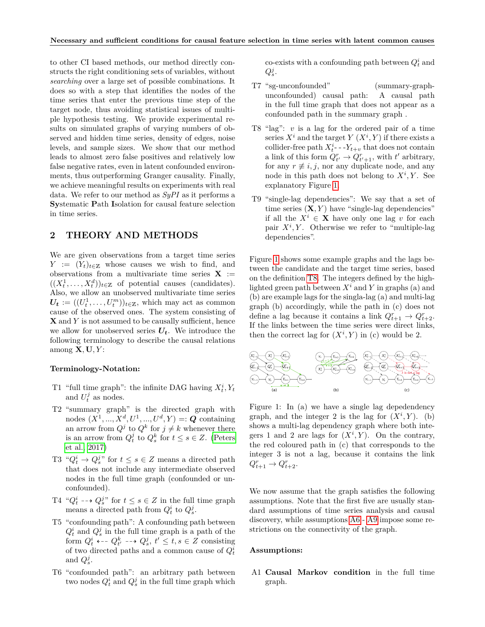to other CI based methods, our method directly constructs the right conditioning sets of variables, without *searching* over a large set of possible combinations. It does so with a step that identifies the nodes of the time series that enter the previous time step of the target node, thus avoiding statistical issues of multiple hypothesis testing. We provide experimental results on simulated graphs of varying numbers of observed and hidden time series, density of edges, noise levels, and sample sizes. We show that our method leads to almost zero false positives and relatively low false negative rates, even in latent confounded environments, thus outperforming Granger causality. Finally, we achieve meaningful results on experiments with real data. We refer to our method as *SyPI* as it performs a **Sy**stematic **P**ath **I**solation for causal feature selection in time series.

# **2 THEORY AND METHODS**

We are given observations from a target time series *Y* :=  $(Y_t)_{t \in \mathbb{Z}}$  whose causes we wish to find, and observations from a multivariate time series  $X :=$  $((X_t^1, \ldots, X_t^d))_{t \in \mathbb{Z}}$  of potential causes (candidates). Also, we allow an unobserved multivariate time series  $U_t := ((U_t^1, \ldots, U_t^m))_{t \in \mathbb{Z}}$ , which may act as common cause of the observed ones. The system consisting of **X** and *Y* is not assumed to be causally sufficient, hence we allow for unobserved series  $U_t$ . We introduce the following terminology to describe the causal relations among **X***,* **U***, Y* :

### <span id="page-1-1"></span>**Terminology-Notation:**

- T1 "full time graph": the infinite DAG having  $X_t^i, Y_t$ and  $U_t^j$  as nodes.
- T2 "summary graph" is the directed graph with nodes  $(X^1, ..., X^d, U^1, ..., U^d, Y) =: Q$  containing an arrow from  $Q^j$  to  $Q^k$  for  $j \neq k$  whenever there is an arrow from  $Q_t^j$  to  $Q_s^k$  for  $t \leq s \in \mathbb{Z}$ . [\(Peters](#page-8-4) [et al., 2017\)](#page-8-4)
- T3 " $Q_t^i \rightarrow Q_s^j$ " for  $t \leq s \in \mathbb{Z}$  means a directed path that does not include any intermediate observed nodes in the full time graph (confounded or unconfounded).
- T4 " $Q_t^i$  --+  $Q_s^j$ " for  $t \leq s \in \mathbb{Z}$  in the full time graph means a directed path from  $Q_t^i$  to  $Q_s^j$ .
- T5 "confounding path": A confounding path between  $Q_t^i$  and  $Q_s^j$  in the full time graph is a path of the form  $Q_t^i$   $\leftarrow$  -  $Q_{t'}^k$  --  $Q_s^j$ ,  $t' \le t, s \in \mathbb{Z}$  consisting of two directed paths and a common cause of  $Q_t^i$ and  $Q_s^j$ .
- T6 "confounded path": an arbitrary path between two nodes  $Q_t^i$  and  $Q_s^j$  in the full time graph which

 $\text{co-exists with a confounding path between } Q_t^i$  and  $Q_s^j$ .

- T7 "sg-unconfounded" (summary-graphunconfounded) causal path: A causal path in the full time graph that does not appear as a confounded path in the summary graph .
- T8 "lag": *v* is a lag for the ordered pair of a time series  $X^i$  and the target  $Y(X^i, Y)$  if there exists a collider-free path  $X_t^i$ -- $Y_{t+v}$  that does not contain a link of this form  $Q_{t'}^r \to Q_{t'+1}^r$ , with  $t'$  arbitrary, for any  $r \not\equiv i, j$ , nor any duplicate node, and any node in this path does not belong to  $X^i, Y$ . See explanatory Figure [1.](#page-1-0)
- T9 "single-lag dependencies": We say that a set of time series  $(X, Y)$  have "single-lag dependencies" if all the *X<sup>i</sup>* ∈ **X** have only one lag *v* for each pair  $X^i, Y$ . Otherwise we refer to "multiple-lag dependencies".

Figure [1](#page-1-0) shows some example graphs and the lags between the candidate and the target time series, based on the definition [T8.](#page-1-1) The integers defined by the highlighted green path between  $X^i$  and  $Y$  in graphs (a) and (b) are example lags for the singla-lag (a) and multi-lag graph (b) accordingly, while the path in (c) does not define a lag because it contains a link  $Q_{t+1}^r \rightarrow Q_{t+2}^r$ . If the links between the time series were direct links, then the correct lag for  $(X^i, Y)$  in (c) would be 2.



<span id="page-1-0"></span>Figure 1: In (a) we have a single lag depedendency graph, and the integer 2 is the lag for  $(X^i, Y)$ . (b) shows a multi-lag dependency graph where both integers 1 and 2 are lags for  $(X^i, Y)$ . On the contrary, the red coloured path in (c) that corresponds to the integer 3 is not a lag, because it contains the link  $Q_{t+1}^r \rightarrow Q_{t+2}^r$ .

We now assume that the graph satisfies the following assumptions. Note that the first five are usually standard assumptions of time series analysis and causal discovery, while assumptions [A6](#page-1-2) - [A9](#page-1-2) impose some restrictions on the connectivity of the graph.

#### <span id="page-1-2"></span>**Assumptions:**

A1 **Causal Markov condition** in the full time graph.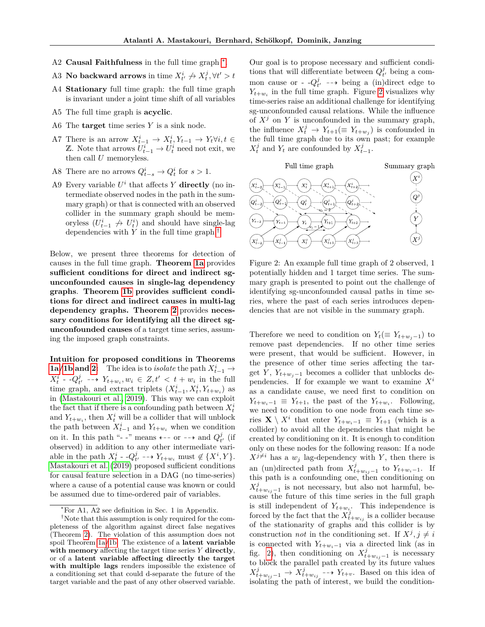- A2 **Causal Faithfulness** in the full time graph  $*$ .
- A3 **No backward arrows** in time  $X^i_{t'} \nrightarrow X^j_t, \forall t' > t$
- A4 **Stationary** full time graph: the full time graph is invariant under a joint time shift of all variables
- A5 The full time graph is **acyclic**.
- A6 The **target** time series *Y* is a sink node.
- A7 There is an arrow  $X_{t-1}^i \rightarrow X_t^i, Y_{t-1} \rightarrow Y_t \forall i, t \in$ Z. Note that arrows  $U_{t-1}^i \rightarrow U_t^i$  need not exit, we then call *U* memoryless.
- A8 There are no arrows  $Q_{t-s}^i \to Q_t^i$  for  $s > 1$ .
- A9 Every variable  $U^i$  that affects  $Y$  directly (no intermediate observed nodes in the path in the summary graph) or that is connected with an observed collider in the summary graph should be memoryless  $(U_{t-1}^i \nightharpoonup U_t^i)$  and should have single-lag dependencies with *Y* in the full time graph.[†](#page-2-1)

Below, we present three theorems for detection of causes in the full time graph. **Theorem [1a](#page-3-0)** provides **sufficient conditions for direct and indirect sgunconfounded causes in single-lag dependency graphs**. **Theorem [1b](#page-3-1) provides sufficient conditions for direct and indirect causes in multi-lag dependency graphs. Theorem [2](#page-3-2)** provides **necessary conditions for identifying all the direct sgunconfounded causes** of a target time series, assuming the imposed graph constraints.

**Intuition for proposed conditions in Theorems [1a](#page-3-0)**/**1b** and **2:** The idea is to *isolate* the path  $X_{t-1}^i \rightarrow$  $X_t^i$  -  $-Q_{t'}^j$  --+  $Y_{t+w_i}, w_i \in Z, t' < t+w_i$  in the full time graph, and extract triplets  $(X_{t-1}^i, X_t^i, Y_{t+w_i})$  as in [\(Mastakouri et al., 2019\)](#page-8-15). This way we can exploit the fact that if there is a confounding path between  $X_t^i$ and  $Y_{t+w_i}$ , then  $X_t^i$  will be a collider that will unblock the path between  $X_{t-1}^i$  and  $Y_{t+w_i}$  when we condition on it. In this path "- -" means  $\leftarrow$ -- or -- $\rightarrow$  and  $Q_{t'}^j$  (if observed) in addition to any other intermediate variable in the path  $X_t^i$  -  $\cdot Q_{t'}^j$  -  $\rightarrow$   $Y_{t+w_i}$  must  $\notin \{X^i, Y\}.$ [Mastakouri et al.](#page-8-15) [\(2019\)](#page-8-15) proposed sufficient conditions for causal feature selection in a DAG (no time-series) where a cause of a potential cause was known or could be assumed due to time-ordered pair of variables.

Our goal is to propose necessary and sufficient conditions that will differentiate between  $Q_{t'}^j$  being a common cause or -  $-Q_{t'}^j$  --> being a (in)direct edge to  $Y_{t+w_i}$  in the full time graph. Figure [2](#page-2-2) visualizes why time-series raise an additional challenge for identifying sg-unconfounded causal relations. While the influence of  $X^j$  on  $Y$  is unconfounded in the summary graph, the influence  $X_t^j \to Y_{t+1} (\equiv Y_{t+w_j})$  is confounded in the full time graph due to its own past; for example  $X_t^j$  and  $Y_t$  are confounded by  $X_{t-1}^j$ .



<span id="page-2-2"></span>Figure 2: An example full time graph of 2 observed, 1 potentially hidden and 1 target time series. The summary graph is presented to point out the challenge of identifying sg-unconfounded causal paths in time series, where the past of each series introduces dependencies that are not visible in the summary graph.

Therefore we need to condition on  $Y_t (\equiv Y_{t+w_j-1})$  to remove past dependencies. If no other time series were present, that would be sufficient. However, in the presence of other time series affecting the target *Y*,  $Y_{t+w_j-1}$  becomes a collider that unblocks dependencies. If for example we want to examine  $X^i$ as a candidate cause, we need first to condition on  $Y_{t+w_i-1} \equiv Y_{t+1}$ , the past of the  $Y_{t+w_i}$ . Following, we need to condition to one node from each time series  $\mathbf{X} \setminus X^i$  that enter  $Y_{t+w_i-1} \equiv Y_{t+1}$  (which is a collider) to avoid all the dependencies that might be created by conditioning on it. It is enough to condition only on these nodes for the following reason: If a node  $X^{j\neq i}$  has a  $w_j$  lag-dependency with *Y*, then there is an (un)directed path from  $X_{t+w_{ij}-1}^{j}$  to  $Y_{t+w_{i}-1}$ . If this path is a confounding one, then conditioning on  $X_{t+w_{ij}-1}^{j}$  is not necessary, but also not harmful, because the future of this time series in the full graph is still independent of  $Y_{t+w_i}$ . This independence is forced by the fact that the  $X_{t+w_{ij}}^{j}$  is a collider because of the stationarity of graphs and this collider is by construction *not* in the conditioning set. If  $X^j, j \neq i$ is connected with  $Y_{t+w_i-1}$  via a directed link (as in fig. [2\)](#page-2-2), then conditioning on  $X_{t+w_{ij}-1}^{j}$  is necessary to block the parallel path created by its future values *X*<sup>*j*</sup><sub>*t*+*w*<sub>*ij*</sub> −1</sub> → *X*<sup>*j*</sup><sub>*t*+*w*<sub>*i*</sub><sub>*j*</sub> − → *Y*<sub>*t*+*v*</sub>. Based on this idea of</sub> isolating the path of interest, we build the condition-

<span id="page-2-1"></span><span id="page-2-0"></span><sup>∗</sup>For A1, A2 see definition in Sec. 1 in Appendix.

<sup>†</sup>Note that this assumption is only required for the completeness of the algorithm against direct false negatives (Theorem [2\)](#page-3-2). The violation of this assumption does not spoil Theorem [1a/](#page-3-0)[1b.](#page-3-1) The existence of a **latent variable with memory** affecting the target time series *Y* **directly**, or of a **latent variable affecting directly the target with multiple lags** renders impossible the existence of a conditioning set that could d-separate the future of the target variable and the past of any other observed variable.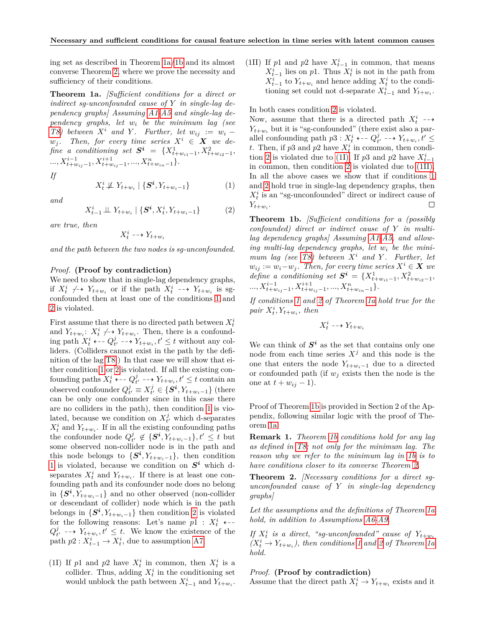ing set as described in Theorem [1a/](#page-3-0)[1b](#page-3-1) and its almost converse Theorem [2,](#page-3-2) where we prove the necessity and sufficiency of their conditions.

<span id="page-3-0"></span>**Theorem 1a.** *[Sufficient conditions for a direct or indirect sg-unconfounded cause of Y in single-lag dependency graphs] Assuming [A1-A5](#page-1-2) and single-lag dependency graphs, let w<sup>i</sup> be the minimum lag (see T8)* between  $X^i$  and  $Y$ . Further, let  $w_{ij} := w_i$  $w_j$ . Then, for every time series  $X^i \in \mathbf{X}$  we de $fine \ a \ conditioning \ set \ \ \mathbf{S}^i \ \ = \ \{X_{t+w_{i1}-1}^1,X_{t+w_{i2}-1}^2,$ *..., Xi*−<sup>1</sup> *t*+*wij*−1 *, Xi*+1 *t*+*wij*−1 *, ..., X<sup>n</sup> <sup>t</sup>*+*win*−1}*.*

*If*

$$
X_t^i \not\perp Y_{t+w_i} \mid \{ \mathbf{S}^i, Y_{t+w_i-1} \} \tag{1}
$$

*and*

$$
X_{t-1}^i \perp \!\!\! \perp Y_{t+w_i} \mid \{ \mathbf{S}^i, X_t^i, Y_{t+w_i-1} \} \tag{2}
$$

*are true, then*

$$
X_t^i \dashrightarrow Y_{t+w_i}
$$

*and the path between the two nodes is sg-unconfounded.*

#### *Proof.* **(Proof by contradiction)**

We need to show that in single-lag dependency graphs, if  $X_t^i \nightharpoonup Y_{t+w_i}$  or if the path  $X_t^i \nightharpoonup Y_{t+w_i}$  is sgconfounded then at least one of the conditions [1](#page-3-3) and [2](#page-3-4) is violated.

First assume that there is no directed path between  $X_t^i$ and  $Y_{t+w_i}: X_t^i \nightharpoonup Y_{t+w_i}$ . Then, there is a confounding path  $X_t^i$   $\leftarrow$   $Q_{t'}^j$   $\rightarrow$   $Y_{t+w_i}, t' \leq t$  without any colliders. (Colliders cannot exist in the path by the definition of the lag [T8.](#page-1-1)) In that case we will show that either condition [1](#page-3-3) or [2](#page-3-4) is violated. If all the existing confounding paths  $X_t^i$   $\leftarrow$  -  $Q_{t'}^j$  -- $\rightarrow$   $Y_{t+w_i}, t' \leq t$  contain an observed confounder  $Q_{t'}^j \equiv X_{t'}^j \in \{S^i, Y_{t+w_i-1}\}$  (there can be only one confounder since in this case there are no colliders in the path), then condition [1](#page-3-3) is violated, because we condition on  $X_{t'}^j$  which d-separates  $X_t^i$  and  $Y_{t+w_i}$ . If in all the existing confounding paths the confounder node  $Q_{t'}^j \notin {\{S^i, Y_{t+w_i-1}\}, t' \leq t \text{ but}}$ some observed non-collider node is in the path and this node belongs to  $\{S^i, Y_{t+w_i-1}\}$ , then condition [1](#page-3-3) is violated, because we condition on  $S<sup>i</sup>$  which dseparates  $X_t^i$  and  $Y_{t+w_i}$ . If there is at least one confounding path and its confounder node does no belong in  ${S^i, Y_{t+w_i-1}}$  and no other observed (non-collider or descendant of collider) node which is in the path belongs in  $\{S^i, Y_{t+w_i-1}\}\)$  then condition [2](#page-3-4) is violated for the following reasons: Let's name  $p1$  :  $X_t^i$   $\leftarrow$  $Q_{t'}^j$  --+  $Y_{t+w_i}, t' \leq t$ . We know the existence of the path  $p2: X_{t-1}^i \to X_t^i$ , due to assumption [A7.](#page-1-2)

(1I) If  $p_1$  and  $p_2$  have  $X_t^i$  in common, then  $X_t^i$  is a collider. Thus, adding  $X_t^i$  in the conditioning set would unblock the path between  $X_{t-1}^i$  and  $Y_{t+w_i}$ . (1II) If  $p1$  and  $p2$  have  $X_{t-1}^i$  in common, that means  $X_{t-1}^i$  lies on *p*1. Thus  $X_t^i$  is not in the path from  $X_{t-1}^i$  to  $Y_{t+w_i}$  and hence adding  $X_t^i$  to the conditioning set could not d-separate  $X_{t-1}^i$  and  $Y_{t+w_i}$ .

In both cases condition [2](#page-3-4) is violated.

Now, assume that there is a directed path  $X_t^i \dashrightarrow$  $Y_{t+w_i}$  but it is "sg-confounded" (there exist also a parallel confounding path  $p3: X_t^i$   $\leftarrow Q_{t'}^j$   $\rightarrow$   $Y_{t+w_i}, t' \leq$ *t*. Then, if  $p3$  and  $p2$  have  $X_t^i$  in common, then condi-tion [2](#page-3-4) is violated due to [\(1I\).](#page-3-4) If  $p3$  and  $p2$  have  $X_{t-1}^i$ in common, then condition [2](#page-3-4) is violated due to [\(1II\).](#page-3-4) In all the above cases we show that if conditions [1](#page-3-3) and [2](#page-3-4) hold true in single-lag dependency graphs, then  $X_t^i$  is an "sg-unconfounded" direct or indirect cause of  $Y_{t+w_i}$ . П

<span id="page-3-4"></span><span id="page-3-3"></span><span id="page-3-1"></span>**Theorem 1b.** *[Sufficient conditions for a (possibly confounded) direct or indirect cause of Y in multilag dependency graphs] Assuming [A1-A5,](#page-1-2) and allowing multi-lag dependency graphs, let w<sup>i</sup> be the mini-mum lag (see [T8\)](#page-1-1) between*  $X^i$  *and*  $Y$ *. Further, let*  $w_{ij} := w_i - w_j$ . Then, for every time series  $X^i \in \mathbf{X}$  we  $define \ a \ conditioning \ set \ \mathbf{S}^i = \{X_{t+w_{i1}-1}^1, X_{t+w_{i2}-1}^2, \}$ *..., Xi*−<sup>1</sup> *t*+*wij*−1 *, Xi*+1 *t*+*wij*−1 *, ..., X<sup>n</sup> <sup>t</sup>*+*win*−1}*.*

*If conditions [1](#page-3-3) and [2](#page-3-4) of Theorem [1a](#page-3-0) hold true for the*  $pair X_t^i, Y_{t+w_i}, then$ 

$$
X_t^i \dashrightarrow Y_{t+w_i}
$$

We can think of  $S^i$  as the set that contains only one node from each time series  $X^j$  and this node is the one that enters the node  $Y_{t+w_i-1}$  due to a directed or confounded path (if  $w_j$  exists then the node is the one at  $t + w_{ij} - 1$ .

Proof of Theorem [1b](#page-3-1) is provided in Section 2 of the Appendix, following similar logic with the proof of Theorem [1a.](#page-3-0)

**Remark 1.** *Theorem [1b](#page-3-1) conditions hold for any lag as defined in [T8;](#page-1-1) not only for the minimum lag. The reason why we refer to the minimum lag in [1b](#page-3-1) is to have conditions closer to its converse Theorem [2.](#page-3-2)*

<span id="page-3-2"></span>**Theorem 2.** *[Necessary conditions for a direct sgunconfounded cause of Y in single-lag dependency graphs]*

*Let the assumptions and the definitions of Theorem [1a](#page-3-0) hold, in addition to Assumptions [A6-A9.](#page-1-2)*

If  $X_t^i$  is a direct, "sg-unconfounded" cause of  $Y_{t+w_i}$  $(X_t^i \to Y_{t+w_i})$ , then conditions [1](#page-3-3) and [2](#page-3-4) of Theorem [1a](#page-3-0) *hold.*

#### *Proof.* **(Proof by contradiction)**

Assume that the direct path  $X_t^i \to Y_{t+w_i}$  exists and it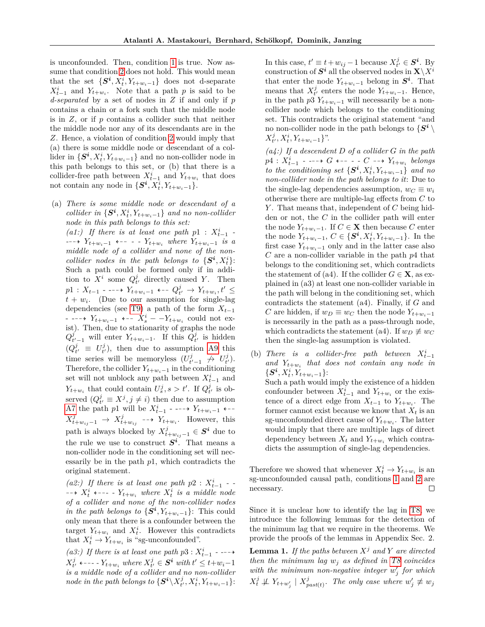is unconfounded. Then, condition [1](#page-3-3) is true. Now assume that condition [2](#page-3-4) does not hold. This would mean that the set  $\{S^i, X_t^i, Y_{t+w_i-1}\}$  does not d-separate  $X_{t-1}^i$  and  $Y_{t+w_i}$ . Note that a path *p* is said to be *d-separated* by a set of nodes in *Z* if and only if *p* contains a chain or a fork such that the middle node is in *Z*, or if *p* contains a collider such that neither the middle node nor any of its descendants are in the *Z*. Hence, a violation of condition [2](#page-3-4) would imply that (a) there is some middle node or descendant of a collider in  $\{S^i, X_t^i, Y_{t+w_i-1}\}$  and no non-collider node in this path belongs to this set, or (b) that there is a collider-free path between  $X_{t-1}^i$  and  $Y_{t+w_i}$  that does not contain any node in  $\{S^i, X_t^i, Y_{t+w_i-1}\}.$ 

(a) *There is some middle node or descendant of a collider in*  $\{S^i, X_t^i, Y_{t+w_i-1}\}$  *and no non-collider node in this path belongs to this set:*

(a1:) If there is at least one path  $p1$  :  $X_{t-1}^i$  -*-*−→  $Y_{t+w_i-1}$  ← -- - -  $Y_{t+w_i}$  where  $Y_{t+w_i-1}$  *is a middle node of a collider and none of the noncollider nodes in the path belongs to*  $\{S^i, X_t^i\}$ : Such a path could be formed only if in addition to  $X^i$  some  $Q^j_{t'}$  directly caused *Y*. Then *p*<sup>1</sup> : *X*<sub>*t*-1</sub> - ---→ *Y*<sub>*t*+*w*<sub>*i*</sub>-1</sub> ←--  $Q_t^j$  →  $Y_{t+w_i}, t' \le$  $t + w_i$ . (Due to our assumption for single-lag dependencies (see [T9\)](#page-1-1) a path of the form  $X_{t-1}$ - -99K *Yt*+*wi*−<sup>1</sup> L99 *X<sup>i</sup> <sup>s</sup>* − −*Yt*+*w<sup>i</sup>* could not exist). Then, due to stationarity of graphs the node  $Q_{t'-1}^j$  will enter  $Y_{t+w_i-1}$ . If this  $Q_{t'}^j$  is hidden  $(Q_{t'}^j \equiv U_{t'}^j)$ , then due to assumption [A9](#page-1-2) this time series will be memoryless  $(U_{t'-1}^j \not\rightarrow U_{t'}^j)$ . Therefore, the collider  $Y_{t+w_i-1}$  in the conditioning set will not unblock any path between  $X_{t-1}^i$  and *Y*<sub>*t*+*w*<sub>*i*</sub></sub> that could contain  $U_s^j$ ,  $s > t'$ . If  $Q_{t'}^j$  is observed  $(Q_{t'}^j \equiv X^j, j \neq i)$  then due to assumption [A7](#page-1-2) the path *p*1 will be  $X_{t-1}^i$  - ---→  $Y_{t+w_i-1}$  +--*X*<sup>*j*</sup><sub>*t*+*w*<sub>*i*j</sub> − *i Y*<sub>*t*+*w*<sub>*i*</sub></sub>. However, this</sub> path is always blocked by  $X_{t+w_{ij}-1}^{j} \in S^{i}$  due to the rule we use to construct  $S^i$ . That means a non-collider node in the conditioning set will necessarily be in the path *p*1, which contradicts the original statement.

(*a2:*) If there is at least one path  $p2 : X_{t-1}^i$  - $\overrightarrow{X}_t^i$   $\longleftarrow$  --- -  $Y_{t+w_i}$  where  $X_t^i$  is a middle node *of a collider and none of the non-collider nodes in the path belongs to*  $\{S^i, Y_{t+w_i-1}\}$ : This could only mean that there is a confounder between the target  $Y_{t+w_i}$  and  $X_t^i$ . However this contradicts that  $X_t^i \to Y_{t+w_i}$  is "sg-unconfounded".

*(a3:)* If there is at least one path  $p3: X_{t-1}^i$  - ---->  $X_{t'}^j$   $\longleftarrow$  --- *- Y*<sub>t+*wi*</sub> *where*  $X_{t'}^j \in S^i$  *with*  $t' \leq t + w_i - 1$ *is a middle node of a collider and no non-collider*  $\textit{node in the path belongs to $\{\textbf{\textit{S}}^{\boldsymbol{i}} \backslash X_{t'}^j, X_{t}^i, Y_{t+w_i-1}\}$:}$ 

In this case,  $t' \equiv t + w_{ij} - 1$  because  $X_{t'}^j \in S^i$ . By  $\text{construction of } \mathbf{S}^i \text{ all the observed nodes in } \mathbf{X} \backslash X^i$ that enter the node  $Y_{t+w_i-1}$  belong in  $S^i$ . That means that  $X_{t'}^j$  enters the node  $Y_{t+w_i-1}$ . Hence, in the path  $p3 Y_{t+w_i-1}$  will necessarily be a noncollider node which belongs to the conditioning set. This contradicts the original statement "and no non-collider node in the path belongs to  $\{S^i \setminus$  $X_t^j, X_t^i, Y_{t+w_i-1}$ ".

*(a4:) If a descendent D of a collider G in the path p*4 : *X<sup>i</sup> t*−1 *- -*99K *G* L99 *- - C* 99K *Yt*+*w<sup>i</sup> belongs*  $to the\ conditioning\ set\ {\bf{S}}^i, X_t^i, Y_{t+w_i-1}\}$  and no *non-collider node in the path belongs to it*: Due to the single-lag dependencies assumption,  $w_C \equiv w_i$ otherwise there are multiple-lag effects from *C* to *Y* . That means that, independent of *C* being hidden or not, the *C* in the collider path will enter the node  $Y_{t+w_i-1}$ . If  $C \in \mathbf{X}$  then because  $C$  enter the node  $Y_{t+w_i-1}, C \in \{S^i, X_t^i, Y_{t+w_i-1}\}$ . In the first case  $Y_{t+w_i-1}$  only and in the latter case also *C* are a non-collider variable in the path *p*4 that belongs to the conditioning set, which contradicts the statement of (a4). If the collider  $G \in \mathbf{X}$ , as explained in (a3) at least one non-collider variable in the path will belong in the conditioning set, which contradicts the statement (a4). Finally, if *G* and *C* are hidden, if  $w_D \equiv w_C$  then the node  $Y_{t+w_i-1}$ is necessarily in the path as a pass-through node, which contradicts the statement (a4). If  $w_D \not\equiv w_C$ then the single-lag assumption is violated.

(b) *There is a collider-free path between*  $X_{t-1}^i$ *and Yt*+*w<sup>i</sup> that does not contain any node in*  $\{\bm{S^i}, X_t^i, Y_{t+w_i-1}\}$ : Such a path would imply the existence of a hidden confounder between  $X_{t-1}^i$  and  $Y_{t+w_i}$  or the existence of a direct edge from  $X_{t-1}$  to  $Y_{t+w_i}$ . The former cannot exist because we know that  $X_t$  is an sg-unconfounded direct cause of  $Y_{t+w_i}$ . The latter would imply that there are multiple lags of direct dependency between  $X_t$  and  $Y_{t+w_i}$  which contradicts the assumption of single-lag dependencies.

Therefore we showed that whenever  $X_t^i \to Y_{t+w_i}$  is an sg-unconfounded causal path, conditions [1](#page-3-3) and [2](#page-3-4) are necessary.  $\Box$ 

Since it is unclear how to identify the lag in [T8,](#page-1-1) we introduce the following lemmas for the detection of the minimum lag that we require in the theorems. We provide the proofs of the lemmas in Appendix Sec. 2.

<span id="page-4-0"></span>**Lemma 1.** *If the paths between X<sup>j</sup> and Y are directed then the minimum lag w<sup>j</sup> as defined in [T8](#page-1-1) coincides*  $with the minimum non-negative integer w'_j for which$  $X_t^j \not\perp Y_{t+w'_j} \mid X_p^j$  $\int_{past(t)}^j$ . The only case where  $w'_j \not\equiv w_j$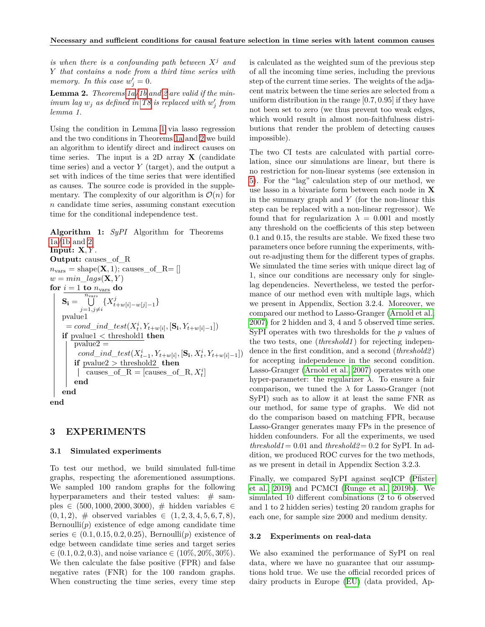*is when there is a confounding path between X<sup>j</sup> and Y that contains a node from a third time series with memory. In this case*  $w'_j = 0$ .

**Lemma 2.** *Theorems [1a](#page-3-0)[/1b](#page-3-1) and [2](#page-3-2) are valid if the minimum lag*  $w_j$  *as defined in* [T8](#page-1-1) *is replaced with*  $w'_j$  *from lemma 1.*

Using the condition in Lemma [1](#page-4-0) via lasso regression and the two conditions in Theorems [1a](#page-3-0) and [2](#page-3-2) we build an algorithm to identify direct and indirect causes on time series. The input is a 2D array **X** (candidate time series) and a vector *Y* (target), and the output a set with indices of the time series that were identified as causes. The source code is provided in the supplementary. The complexity of our algorithm is  $\mathcal{O}(n)$  for *n* candidate time series, assuming constant execution time for the conditional independence test.

**Algorithm 1:** *SyPI* Algorithm for Theorems [1a/](#page-3-0)[1b](#page-3-1) and [2.](#page-3-2) **Input: X***, Y* . **Output:** causes\_of\_R  $r = \text{shape}(\mathbf{X} \mid \cdot) \cdot \text{cases}$  of  $R = \lceil \cdot \rceil$ 

$$
h_{\text{vars}} = \text{shape}(\mathbf{X}, 1), \text{ causes\_ol\_L-L}
$$
\n
$$
w = \min_{avg} \text{lags}(\mathbf{X}, Y)
$$
\n
$$
\text{for } i = 1 \text{ to } n_{\text{vars}} \text{ do}
$$
\n
$$
\mathbf{S}_i = \bigcup_{j=1, j \neq i}^{n_{\text{vars}}} \{X_{t+w[i]-w[j]-1}^j\}
$$
\n
$$
\text{pvaluel}
$$
\n
$$
= \text{cond\_ind\_test}(X_t^i, Y_{t+w[i]}, [\mathbf{S}_i, Y_{t+w[i]-1}])
$$
\n
$$
\text{if } \text{pvalue2} = \text{cond\_ind\_test}(X_{t-1}^i, Y_{t+w[i]}, [\mathbf{S}_i, X_t^i, Y_{t+w[i]-1}])
$$
\n
$$
\text{if } \text{pvalue2} > \text{threshold2} \text{ then}
$$
\n
$$
| \text{ causes\_of\_R} = [\text{causes\_of\_R}, X_t^i]
$$
\n
$$
\text{end}
$$
\nend\n

## **3 EXPERIMENTS**

#### **3.1 Simulated experiments**

To test our method, we build simulated full-time graphs, respecting the aforementioned assumptions. We sampled 100 random graphs for the following hyperparameters and their tested values:  $\#$  samples ∈ (500*,* 1000*,* 2000*,* 3000), # hidden variables ∈  $(0, 1, 2), \#$  observed variables  $\in (1, 2, 3, 4, 5, 6, 7, 8),$ Bernoulli $(p)$  existence of edge among candidate time series  $\in (0.1, 0.15, 0.2, 0.25)$ , Bernoulli $(p)$  existence of edge between candidate time series and target series  $\in (0.1, 0.2, 0.3)$ , and noise variance  $\in (10\%, 20\%, 30\%).$ We then calculate the false positive (FPR) and false negative rates (FNR) for the 100 random graphs. When constructing the time series, every time step is calculated as the weighted sum of the previous step of all the incoming time series, including the previous step of the current time series. The weights of the adjacent matrix between the time series are selected from a uniform distribution in the range [0*.*7*,* 0*.*95] if they have not been set to zero (we thus prevent too weak edges, which would result in almost non-faithfulness distributions that render the problem of detecting causes impossible).

The two CI tests are calculated with partial correlation, since our simulations are linear, but there is no restriction for non-linear systems (see extension in [5\)](#page-7-0). For the "lag" calculation step of our method, we use lasso in a bivariate form between each node in **X** in the summary graph and *Y* (for the non-linear this step can be replaced with a non-linear regressor). We found that for regularization  $\lambda = 0.001$  and mostly any threshold on the coefficients of this step between 0.1 and 0.15, the results are stable. We fixed these two parameters once before running the experiments, without re-adjusting them for the different types of graphs. We simulated the time series with unique direct lag of 1, since our conditions are necessary only for singlelag dependencies. Nevertheless, we tested the performance of our method even with multiple lags, which we present in Appendix, Section 3.2.4. Moreover, we compared our method to Lasso-Granger [\(Arnold et al.,](#page-8-16) [2007\)](#page-8-16) for 2 hidden and 3, 4 and 5 observed time series. SyPI operates with two thresholds for the *p* values of the two tests, one (*threshold1* ) for rejecting independence in the first condition, and a second (*threshold2* ) for accepting independence in the second condition. Lasso-Granger [\(Arnold et al., 2007\)](#page-8-16) operates with one hyper-parameter: the regularizer *λ*. To ensure a fair comparison, we tuned the  $\lambda$  for Lasso-Granger (not SyPI) such as to allow it at least the same FNR as our method, for same type of graphs. We did not do the comparison based on matching FPR, because Lasso-Granger generates many FPs in the presence of hidden confounders. For all the experiments, we used *threshold1* = 0.01 and *threshold2* = 0.2 for SyPI. In addition, we produced ROC curves for the two methods, as we present in detail in Appendix Section 3.2.3.

Finally, we compared SyPI against seqICP [\(Pfister](#page-8-14) [et al., 2019\)](#page-8-14) and PCMCI [\(Runge et al., 2019b\)](#page-8-13). We simulated 10 different combinations (2 to 6 observed and 1 to 2 hidden series) testing 20 random graphs for each one, for sample size 2000 and medium density.

#### **3.2 Experiments on real-data**

We also examined the performance of SyPI on real data, where we have no guarantee that our assumptions hold true. We use the official recorded prices of dairy products in Europe [\(EU\)](#page-8-17) (data provided, Ap-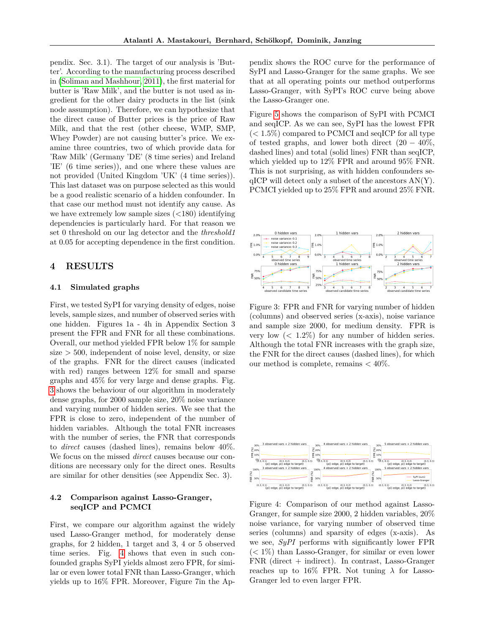pendix. Sec. 3.1). The target of our analysis is 'Butter'. According to the manufacturing process described in [\(Soliman and Mashhour, 2011\)](#page-8-18), the first material for butter is 'Raw Milk', and the butter is not used as ingredient for the other dairy products in the list (sink node assumption). Therefore, we can hypothesize that the direct cause of Butter prices is the price of Raw Milk, and that the rest (other cheese, WMP, SMP, Whey Powder) are not causing butter's price. We examine three countries, two of which provide data for 'Raw Milk' (Germany 'DE' (8 time series) and Ireland 'IE' (6 time series)), and one where these values are not provided (United Kingdom 'UK' (4 time series)). This last dataset was on purpose selected as this would be a good realistic scenario of a hidden confounder. In that case our method must not identify any cause. As we have extremely low sample sizes  $(<180)$  identifying dependencies is particularly hard. For that reason we set 0 threshold on our lag detector and the *threshold1* at 0*.*05 for accepting dependence in the first condition.

# **4 RESULTS**

### **4.1 Simulated graphs**

First, we tested SyPI for varying density of edges, noise levels, sample sizes, and number of observed series with one hidden. Figures 1a - 4h in Appendix Section 3 present the FPR and FNR for all these combinations. Overall, our method yielded FPR below 1% for sample size *>* 500, independent of noise level, density, or size of the graphs. FNR for the direct causes (indicated with red) ranges between 12% for small and sparse graphs and 45% for very large and dense graphs. Fig. [3](#page-6-0) shows the behaviour of our algorithm in moderately dense graphs, for 2000 sample size, 20% noise variance and varying number of hidden series. We see that the FPR is close to zero, independent of the number of hidden variables. Although the total FNR increases with the number of series, the FNR that corresponds to *direct* causes (dashed lines), remains below 40%. We focus on the missed *direct* causes because our conditions are necessary only for the direct ones. Results are similar for other densities (see Appendix Sec. 3).

# **4.2 Comparison against Lasso-Granger, seqICP and PCMCI**

First, we compare our algorithm against the widely used Lasso-Granger method, for moderately dense graphs, for 2 hidden, 1 target and 3, 4 or 5 observed time series. Fig. [4](#page-6-1) shows that even in such confounded graphs SyPI yields almost zero FPR, for similar or even lower total FNR than Lasso-Granger, which yields up to 16% FPR. Moreover, Figure 7in the Appendix shows the ROC curve for the performance of SyPI and Lasso-Granger for the same graphs. We see that at all operating points our method outperforms Lasso-Granger, with SyPI's ROC curve being above the Lasso-Granger one.

Figure [5](#page-7-1) shows the comparison of SyPI with PCMCI and seqICP. As we can see, SyPI has the lowest FPR (*<* 1*.*5%) compared to PCMCI and seqICP for all type of tested graphs, and lower both direct  $(20 - 40\%,$ dashed lines) and total (solid lines) FNR than seqICP, which yielded up to 12% FPR and around 95% FNR. This is not surprising, as with hidden confounders se $qICP$  will detect only a subset of the ancestors  $AN(Y)$ . PCMCI yielded up to 25% FPR and around 25% FNR.



<span id="page-6-0"></span>Figure 3: FPR and FNR for varying number of hidden (columns) and observed series (x-axis), noise variance and sample size 2000, for medium density. FPR is very low (*<* 1*.*2%) for any number of hidden series. Although the total FNR increases with the graph size, the FNR for the direct causes (dashed lines), for which our method is complete, remains *<* 40%.



<span id="page-6-1"></span>Figure 4: Comparison of our method against Lasso-Granger, for sample size 2000, 2 hidden variables, 20% noise variance, for varying number of observed time series (columns) and sparsity of edges (x-axis). As we see, *SyPI* performs with significantly lower FPR (*<* 1%) than Lasso-Granger, for similar or even lower  $FNR$  (direct  $+$  indirect). In contrast, Lasso-Granger reaches up to 16% FPR. Not tuning  $\lambda$  for Lasso-Granger led to even larger FPR.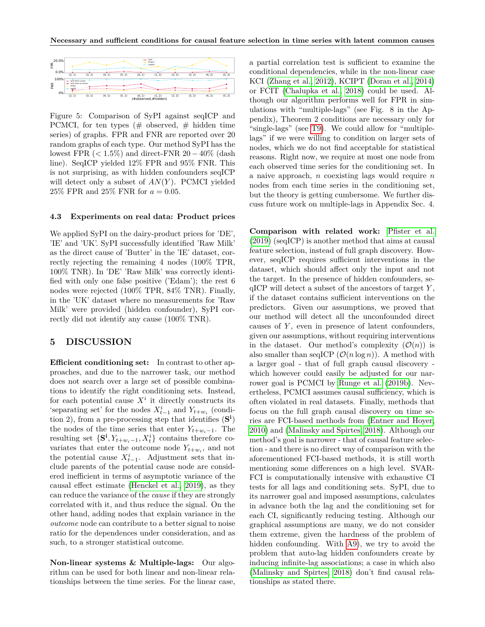

<span id="page-7-1"></span>Figure 5: Comparison of SyPI against seqICP and PCMCI, for ten types  $(\#$  observed,  $\#$  hidden time series) of graphs. FPR and FNR are reported over 20 random graphs of each type. Our method SyPI has the lowest FPR (*<* 1*.*5%) and direct-FNR 20 − 40% (dash line). SeqICP yielded 12% FPR and 95% FNR. This is not surprising, as with hidden confounders seqICP will detect only a subset of *AN*(*Y* ). PCMCI yielded 25% FPR and 25% FNR for *a* = 0*.*05.

#### **4.3 Experiments on real data: Product prices**

We applied SyPI on the dairy-product prices for 'DE', 'IE' and 'UK'. SyPI successfully identified 'Raw Milk' as the direct cause of 'Butter' in the 'IE' dataset, correctly rejecting the remaining 4 nodes (100% TPR, 100% TNR). In 'DE' 'Raw Milk' was correctly identified with only one false positive ('Edam'); the rest 6 nodes were rejected (100% TPR, 84% TNR). Finally, in the 'UK' dataset where no measurements for 'Raw Milk' were provided (hidden confounder), SyPI correctly did not identify any cause (100% TNR).

# <span id="page-7-0"></span>**5 DISCUSSION**

**Efficient conditioning set:** In contrast to other approaches, and due to the narrower task, our method does not search over a large set of possible combinations to identify the right conditioning sets. Instead, for each potential cause  $X^i$  it directly constructs its 's<br>eparating set' for the nodes  $X_{t-1}^i$  and<br>  $Y_{t+w_i}$  (condition 2), from a pre-processing step that identifies (**S i** ) the nodes of the time series that enter  $Y_{t+w_i-1}$ . The resulting set  $\{S^i, Y_{t+w_i-1}, X_t^i\}$  contains therefore covariates that enter the outcome node  $Y_{t+w_i}$ , and not the potential cause  $X_{t-1}^i$ . Adjustment sets that include parents of the potential cause node are considered inefficient in terms of asymptotic variance of the causal effect estimate [\(Henckel et al., 2019\)](#page-8-19), as they can reduce the variance of the *cause* if they are strongly correlated with it, and thus reduce the signal. On the other hand, adding nodes that explain variance in the *outcome* node can contribute to a better signal to noise ratio for the dependences under consideration, and as such, to a stronger statistical outcome.

**Non-linear systems & Multiple-lags:** Our algorithm can be used for both linear and non-linear relationships between the time series. For the linear case,

a partial correlation test is sufficient to examine the conditional dependencies, while in the non-linear case KCI [\(Zhang et al., 2012\)](#page-8-20), KCIPT [\(Doran et al., 2014\)](#page-9-0) or FCIT [\(Chalupka et al., 2018\)](#page-9-1) could be used. Although our algorithm performs well for FPR in simulations with "multiple-lags" (see Fig. 8 in the Appendix), Theorem 2 conditions are necessary only for "single-lags" (see [T9\)](#page-1-1). We could allow for "multiplelags" if we were willing to condition on larger sets of nodes, which we do not find acceptable for statistical reasons. Right now, we require at most one node from each observed time series for the conditioning set. In a naive approach, *n* coexisting lags would require *n* nodes from each time series in the conditioning set, but the theory is getting cumbersome. We further discuss future work on multiple-lags in Appendix Sec. 4.

**Comparison with related work:** [Pfister et al.](#page-8-14) [\(2019\)](#page-8-14) (seqICP) is another method that aims at causal feature selection, instead of full graph discovery. However, seqICP requires sufficient interventions in the dataset, which should affect only the input and not the target. In the presence of hidden confounders, seqICP will detect a subset of the ancestors of target *Y* , if the dataset contains sufficient interventions on the predictors. Given our assumptions, we proved that our method will detect all the unconfounded direct causes of *Y* , even in presence of latent confounders, given our assumptions, without requiring interventions in the dataset. Our method's complexity  $(\mathcal{O}(n))$  is also smaller than seqICP  $(\mathcal{O}(n \log n))$ . A method with a larger goal - that of full graph causal discovery which however could easily be adjusted for our narrower goal is PCMCI by [Runge et al.](#page-8-13) [\(2019b\)](#page-8-13). Nevertheless, PCMCI assumes causal sufficiency, which is often violated in real datasets. Finally, methods that focus on the full graph causal discovery on time series are FCI-based methods from [\(Entner and Hoyer,](#page-8-9) [2010\)](#page-8-9) and [\(Malinsky and Spirtes, 2018\)](#page-8-10). Although our method's goal is narrower - that of causal feature selection - and there is no direct way of comparison with the aforementioned FCI-based methods, it is still worth mentioning some differences on a high level. SVAR-FCI is computationally intensive with exhaustive CI tests for all lags and conditioning sets. SyPI, due to its narrower goal and imposed assumptions, calculates in advance both the lag and the conditioning set for each CI, significantly reducing testing. Although our graphical assumptions are many, we do not consider them extreme, given the hardness of the problem of hidden confounding. With [A9\)](#page-1-2), we try to avoid the problem that auto-lag hidden confounders create by inducing infinite-lag associations; a case in which also [\(Malinsky and Spirtes, 2018\)](#page-8-10) don't find causal relationships as stated there.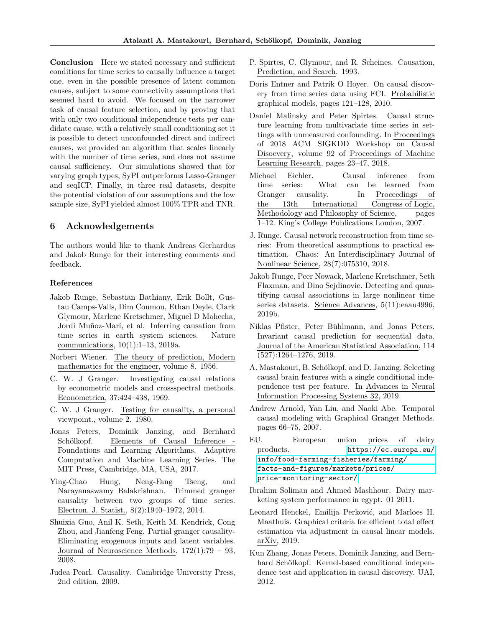**Conclusion** Here we stated necessary and sufficient conditions for time series to causally influence a target one, even in the possible presence of latent common causes, subject to some connectivity assumptions that seemed hard to avoid. We focused on the narrower task of causal feature selection, and by proving that with only two conditional independence tests per candidate cause, with a relatively small conditioning set it is possible to detect unconfounded direct and indirect causes, we provided an algorithm that scales linearly with the number of time series, and does not assume causal sufficiency. Our simulations showed that for varying graph types, SyPI outperforms Lasso-Granger and seqICP. Finally, in three real datasets, despite the potential violation of our assumptions and the low sample size, SyPI yielded almost 100% TPR and TNR.

# **6 Acknowledgements**

The authors would like to thank Andreas Gerhardus and Jakob Runge for their interesting comments and feedback.

## **References**

- <span id="page-8-0"></span>Jakob Runge, Sebastian Bathiany, Erik Bollt, Gustau Camps-Valls, Dim Coumou, Ethan Deyle, Clark Glymour, Marlene Kretschmer, Miguel D Mahecha, Jordi Muñoz-Marí, et al. Inferring causation from time series in earth system sciences. Nature communications, 10(1):1–13, 2019a.
- <span id="page-8-1"></span>Norbert Wiener. The theory of prediction, Modern mathematics for the engineer, volume 8. 1956.
- <span id="page-8-2"></span>C. W. J Granger. Investigating causal relations by econometric models and crossspectral methods. Econometrica, 37:424–438, 1969.
- <span id="page-8-3"></span>C. W. J Granger. Testing for causality, a personal viewpoint., volume 2. 1980.
- <span id="page-8-4"></span>Jonas Peters, Dominik Janzing, and Bernhard Schölkopf. Elements of Causal Inference - Foundations and Learning Algorithms. Adaptive Computation and Machine Learning Series. The MIT Press, Cambridge, MA, USA, 2017.
- <span id="page-8-5"></span>Ying-Chao Hung, Neng-Fang Tseng, and Narayanaswamy Balakrishnan. Trimmed granger causality between two groups of time series. Electron. J. Statist., 8(2):1940–1972, 2014.
- <span id="page-8-6"></span>Shuixia Guo, Anil K. Seth, Keith M. Kendrick, Cong Zhou, and Jianfeng Feng. Partial granger causality-Eliminating exogenous inputs and latent variables. Journal of Neuroscience Methods, 172(1):79 – 93, 2008.
- <span id="page-8-7"></span>Judea Pearl. Causality. Cambridge University Press, 2nd edition, 2009.
- <span id="page-8-8"></span>P. Spirtes, C. Glymour, and R. Scheines. Causation, Prediction, and Search. 1993.
- <span id="page-8-9"></span>Doris Entner and Patrik O Hoyer. On causal discovery from time series data using FCI. Probabilistic graphical models, pages 121–128, 2010.
- <span id="page-8-10"></span>Daniel Malinsky and Peter Spirtes. Causal structure learning from multivariate time series in settings with unmeasured confounding. In Proceedings of 2018 ACM SIGKDD Workshop on Causal Disocvery, volume 92 of Proceedings of Machine Learning Research, pages 23–47, 2018.
- <span id="page-8-11"></span>Michael Eichler. Causal inference from time series: What can be learned from Granger causality. In Proceedings of the 13th International Congress of Logic, Methodology and Philosophy of Science, pages 1–12. King's College Publications London, 2007.
- <span id="page-8-12"></span>J. Runge. Causal network reconstruction from time series: From theoretical assumptions to practical estimation. Chaos: An Interdisciplinary Journal of Nonlinear Science, 28(7):075310, 2018.
- <span id="page-8-13"></span>Jakob Runge, Peer Nowack, Marlene Kretschmer, Seth Flaxman, and Dino Sejdinovic. Detecting and quantifying causal associations in large nonlinear time series datasets. Science Advances, 5(11):eaau4996, 2019b.
- <span id="page-8-14"></span>Niklas Pfister, Peter Bühlmann, and Jonas Peters. Invariant causal prediction for sequential data. Journal of the American Statistical Association, 114 (527):1264–1276, 2019.
- <span id="page-8-15"></span>A. Mastakouri, B. Schölkopf, and D. Janzing. Selecting causal brain features with a single conditional independence test per feature. In Advances in Neural Information Processing Systems 32, 2019.
- <span id="page-8-16"></span>Andrew Arnold, Yan Liu, and Naoki Abe. Temporal causal modeling with Graphical Granger Methods. pages 66–75, 2007.
- <span id="page-8-17"></span>EU. European union prices of dairy products. [https://ec.europa.eu/](https://ec.europa.eu/info/food-farming-fisheries/farming/facts-and-figures/markets/prices/price-monitoring-sector/) [info/food-farming-fisheries/farming/](https://ec.europa.eu/info/food-farming-fisheries/farming/facts-and-figures/markets/prices/price-monitoring-sector/) [facts-and-figures/markets/prices/](https://ec.europa.eu/info/food-farming-fisheries/farming/facts-and-figures/markets/prices/price-monitoring-sector/) [price-monitoring-sector/](https://ec.europa.eu/info/food-farming-fisheries/farming/facts-and-figures/markets/prices/price-monitoring-sector/).
- <span id="page-8-18"></span>Ibrahim Soliman and Ahmed Mashhour. Dairy marketing system performance in egypt. 01 2011.
- <span id="page-8-19"></span>Leonard Henckel, Emilija Perković, and Marloes H. Maathuis. Graphical criteria for efficient total effect estimation via adjustment in causal linear models. arXiv, 2019.
- <span id="page-8-20"></span>Kun Zhang, Jonas Peters, Dominik Janzing, and Bernhard Schölkopf. Kernel-based conditional independence test and application in causal discovery. UAI, 2012.